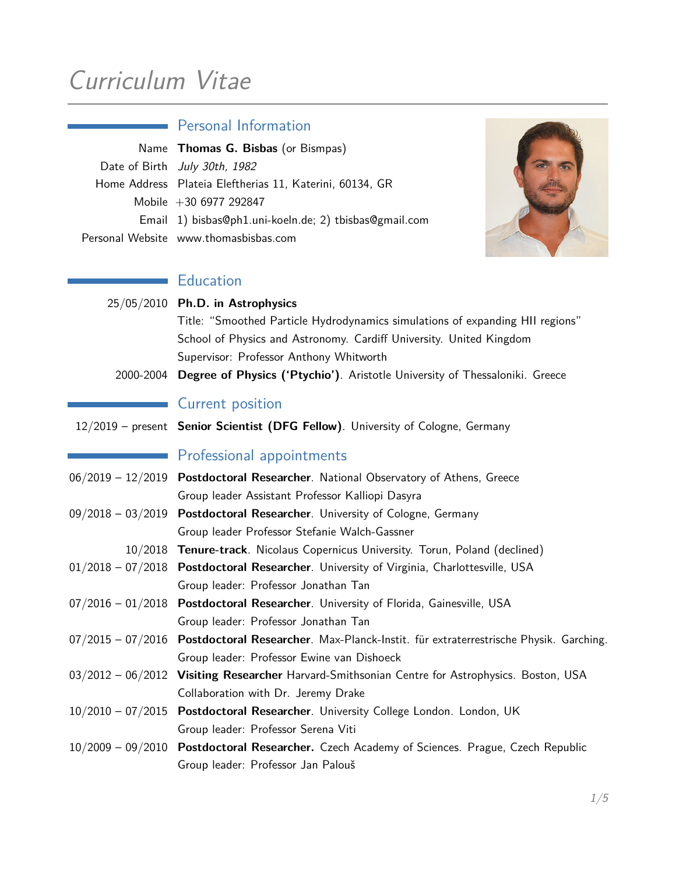# Curriculum Vitae

# Personal Information Name **Thomas G. Bisbas** (or Bismpas) Date of Birth July 30th, 1982 Home Address Plateia Eleftherias 11, Katerini, 60134, GR Mobile +30 6977 292847 Email 1) bisbas@ph1.uni-koeln.de; 2) tbisbas@gmail.com Personal Website www.thomasbisbas.com

## **Education**

|           | $25/05/2010$ Ph.D. in Astrophysics                                            |  |  |  |  |
|-----------|-------------------------------------------------------------------------------|--|--|--|--|
|           | Title: "Smoothed Particle Hydrodynamics simulations of expanding HII regions" |  |  |  |  |
|           | School of Physics and Astronomy. Cardiff University. United Kingdom           |  |  |  |  |
|           | Supervisor: Professor Anthony Whitworth                                       |  |  |  |  |
| 2000-2004 | Degree of Physics ('Ptychio'). Aristotle University of Thessaloniki. Greece   |  |  |  |  |

## Current position

|  | 12/2019 - present Senior Scientist (DFG Fellow). University of Cologne, Germany |  |  |  |  |
|--|---------------------------------------------------------------------------------|--|--|--|--|
|--|---------------------------------------------------------------------------------|--|--|--|--|

#### **Professional appointments**

- 06/2019 12/2019 **Postdoctoral Researcher**. National Observatory of Athens, Greece Group leader Assistant Professor Kalliopi Dasyra
- 09/2018 03/2019 **Postdoctoral Researcher**. University of Cologne, Germany Group leader Professor Stefanie Walch-Gassner
	- 10/2018 **Tenure-track**. Nicolaus Copernicus University. Torun, Poland (declined)
- 01/2018 07/2018 **Postdoctoral Researcher**. University of Virginia, Charlottesville, USA Group leader: Professor Jonathan Tan
- 07/2016 01/2018 **Postdoctoral Researcher**. University of Florida, Gainesville, USA Group leader: Professor Jonathan Tan
- 07/2015 07/2016 **Postdoctoral Researcher**. Max-Planck-Instit. für extraterrestrische Physik. Garching. Group leader: Professor Ewine van Dishoeck
- 03/2012 06/2012 **Visiting Researcher** Harvard-Smithsonian Centre for Astrophysics. Boston, USA Collaboration with Dr. Jeremy Drake
- 10/2010 07/2015 **Postdoctoral Researcher**. University College London. London, UK Group leader: Professor Serena Viti
- 10/2009 09/2010 **Postdoctoral Researcher.** Czech Academy of Sciences. Prague, Czech Republic Group leader: Professor Jan Palouš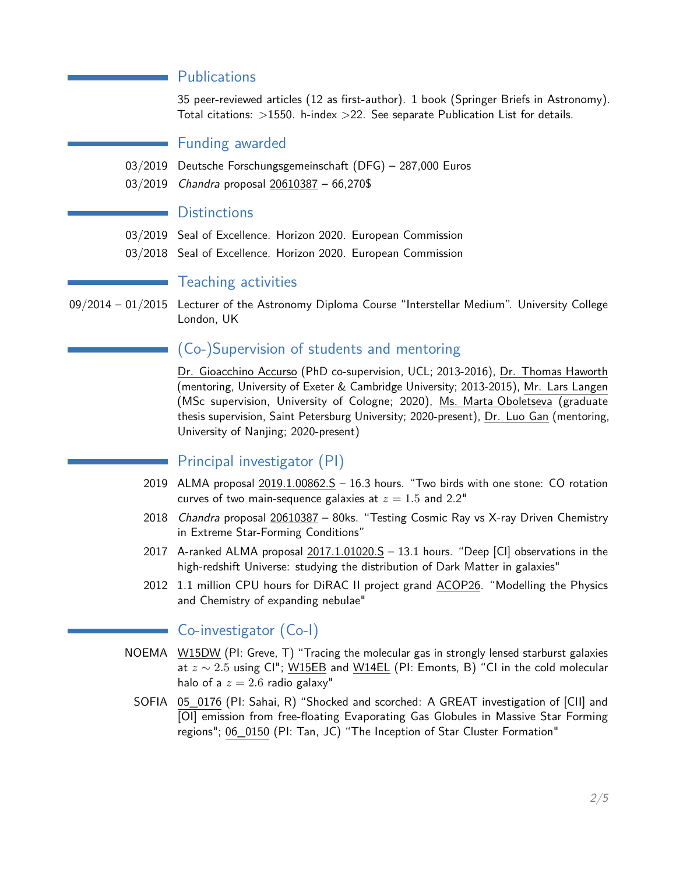#### **Publications**

35 peer-reviewed articles (12 as first-author). 1 book (Springer Briefs in Astronomy). Total citations:  $>1550$ . h-index  $>22$ . See separate Publication List for details.

#### Funding awarded

- 03/2019 Deutsche Forschungsgemeinschaft (DFG) 287,000 Euros
- 03/2019 Chandra proposal 20610387 66,270\$

#### **Distinctions**

- 03/2019 Seal of Excellence. Horizon 2020. European Commission
- 03/2018 Seal of Excellence. Horizon 2020. European Commission

#### Teaching activities

09/2014 – 01/2015 Lecturer of the Astronomy Diploma Course "Interstellar Medium". University College London, UK

#### (Co-)Supervision of students and mentoring

Dr. Gioacchino Accurso (PhD co-supervision, UCL; 2013-2016), Dr. Thomas Haworth (mentoring, University of Exeter & Cambridge University; 2013-2015), Mr. Lars Langen (MSc supervision, University of Cologne; 2020), Ms. Marta Oboletseva (graduate thesis supervision, Saint Petersburg University; 2020-present), Dr. Luo Gan (mentoring, University of Nanjing; 2020-present)

#### Principal investigator (PI)

- 2019 ALMA proposal  $2019.1.00862.S 16.3$  hours. "Two birds with one stone: CO rotation curves of two main-sequence galaxies at  $z = 1.5$  and 2.2"
- 2018 Chandra proposal 20610387 80ks. "Testing Cosmic Ray vs X-ray Driven Chemistry in Extreme Star-Forming Conditions"
- 2017 A-ranked ALMA proposal  $2017.1.01020.S 13.1$  hours. "Deep [CI] observations in the high-redshift Universe: studying the distribution of Dark Matter in galaxies"
- 2012 1.1 million CPU hours for DiRAC II project grand ACOP26. "Modelling the Physics and Chemistry of expanding nebulae"

#### Co-investigator (Co-I)

- NOEMA W15DW (PI: Greve, T) "Tracing the molecular gas in strongly lensed starburst galaxies at *z* ∼ 2*.*5 using CI"; W15EB and W14EL (PI: Emonts, B) "CI in the cold molecular halo of a  $z = 2.6$  radio galaxy"
	- SOFIA 05\_0176 (PI: Sahai, R) "Shocked and scorched: A GREAT investigation of [CII] and [OI] emission from free-floating Evaporating Gas Globules in Massive Star Forming regions"; 06\_0150 (PI: Tan, JC) "The Inception of Star Cluster Formation"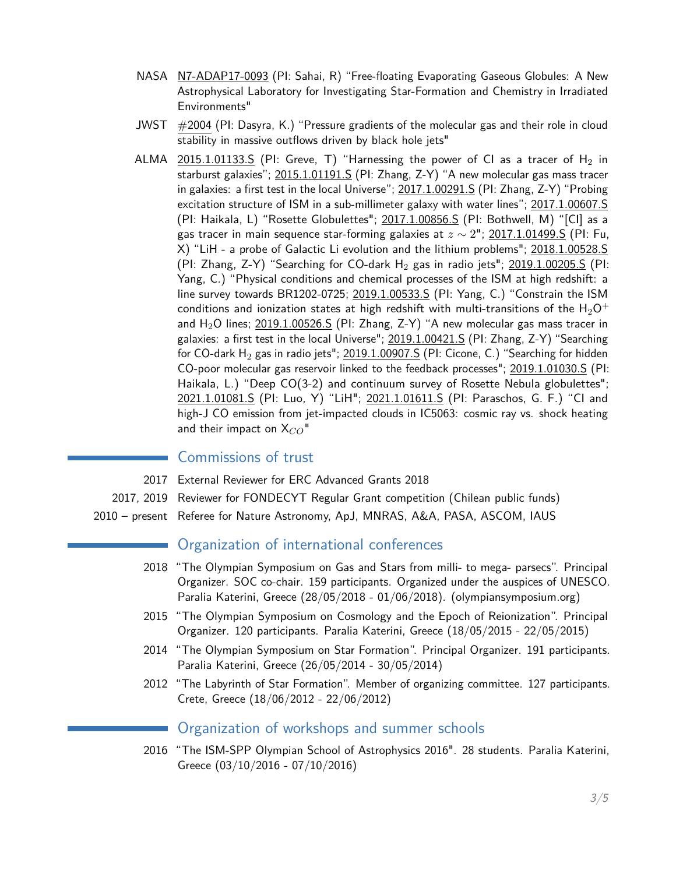- NASA N7-ADAP17-0093 (PI: Sahai, R) "Free-floating Evaporating Gaseous Globules: A New Astrophysical Laboratory for Investigating Star-Formation and Chemistry in Irradiated Environments"
- JWST #2004 (PI: Dasyra, K.) "Pressure gradients of the molecular gas and their role in cloud stability in massive outflows driven by black hole jets"
- ALMA 2015.1.01133.S (PI: Greve, T) "Harnessing the power of CI as a tracer of  $H_2$  in starburst galaxies"; 2015.1.01191.S (PI: Zhang, Z-Y) "A new molecular gas mass tracer in galaxies: a first test in the local Universe"; 2017.1.00291.S (PI: Zhang, Z-Y) "Probing excitation structure of ISM in a sub-millimeter galaxy with water lines"; 2017.1.00607.S (PI: Haikala, L) "Rosette Globulettes"; 2017.1.00856.S (PI: Bothwell, M) "[CI] as a gas tracer in main sequence star-forming galaxies at *z* ∼ 2"; 2017.1.01499.S (PI: Fu, X) "LiH - a probe of Galactic Li evolution and the lithium problems"; 2018.1.00528.S (PI: Zhang, Z-Y) "Searching for CO-dark  $H_2$  gas in radio jets";  $2019.1.00205.$ S (PI: Yang, C.) "Physical conditions and chemical processes of the ISM at high redshift: a line survey towards BR1202-0725; 2019.1.00533.S (PI: Yang, C.) "Constrain the ISM conditions and ionization states at high redshift with multi-transitions of the  $H_2O^+$ and  $H_2O$  lines;  $2019.1.00526.S$  (PI: Zhang, Z-Y) "A new molecular gas mass tracer in galaxies: a first test in the local Universe"; 2019.1.00421.S (PI: Zhang, Z-Y) "Searching for CO-dark H<sub>2</sub> gas in radio jets"; 2019.1.00907.S (PI: Cicone, C.) "Searching for hidden CO-poor molecular gas reservoir linked to the feedback processes"; 2019.1.01030.S (PI: Haikala, L.) "Deep CO(3-2) and continuum survey of Rosette Nebula globulettes"; 2021.1.01081.S (PI: Luo, Y) "LiH"; 2021.1.01611.S (PI: Paraschos, G. F.) "CI and high-J CO emission from jet-impacted clouds in IC5063: cosmic ray vs. shock heating and their impact on  $X_{CO}$ <sup>"</sup>

#### Commissions of trust

- 2017 External Reviewer for ERC Advanced Grants 2018
- 2017, 2019 Reviewer for FONDECYT Regular Grant competition (Chilean public funds)
- 2010 present Referee for Nature Astronomy, ApJ, MNRAS, A&A, PASA, ASCOM, IAUS

#### Organization of international conferences

- 2018 "The Olympian Symposium on Gas and Stars from milli- to mega- parsecs". Principal Organizer. SOC co-chair. 159 participants. Organized under the auspices of UNESCO. Paralia Katerini, Greece (28/05/2018 - 01/06/2018). (olympiansymposium.org)
- 2015 "The Olympian Symposium on Cosmology and the Epoch of Reionization". Principal Organizer. 120 participants. Paralia Katerini, Greece (18/05/2015 - 22/05/2015)
- 2014 "The Olympian Symposium on Star Formation". Principal Organizer. 191 participants. Paralia Katerini, Greece (26/05/2014 - 30/05/2014)
- 2012 "The Labyrinth of Star Formation". Member of organizing committee. 127 participants. Crete, Greece (18/06/2012 - 22/06/2012)

#### Organization of workshops and summer schools

2016 "The ISM-SPP Olympian School of Astrophysics 2016". 28 students. Paralia Katerini, Greece (03/10/2016 - 07/10/2016)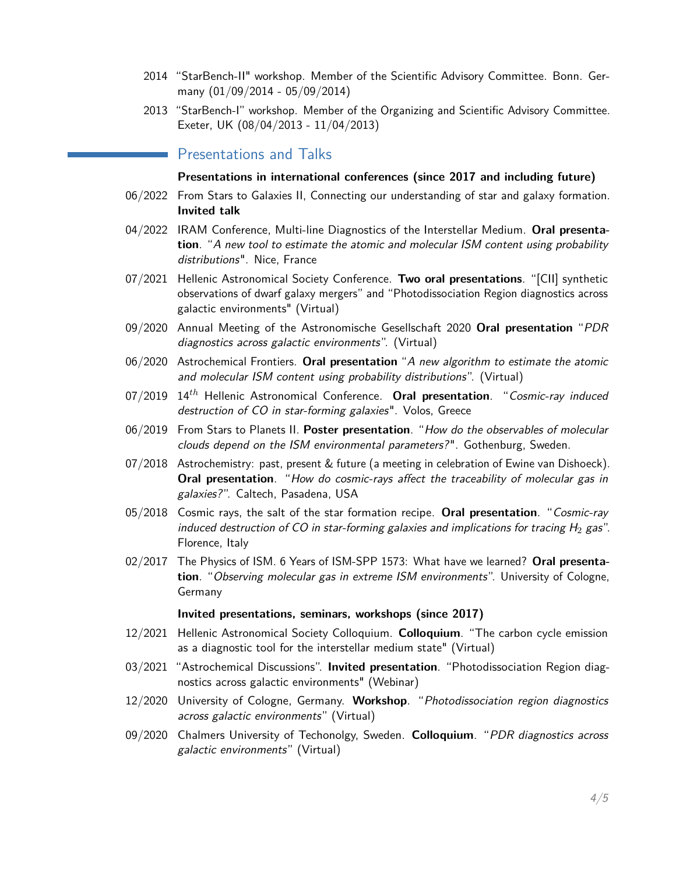- 2014 "StarBench-II" workshop. Member of the Scientific Advisory Committee. Bonn. Germany (01/09/2014 - 05/09/2014)
- 2013 "StarBench-I" workshop. Member of the Organizing and Scientific Advisory Committee. Exeter, UK (08/04/2013 - 11/04/2013)

#### Presentations and Talks

#### **Presentations in international conferences (since 2017 and including future)**

- 06/2022 From Stars to Galaxies II, Connecting our understanding of star and galaxy formation. **Invited talk**
- 04/2022 IRAM Conference, Multi-line Diagnostics of the Interstellar Medium. **Oral presentation**. "A new tool to estimate the atomic and molecular ISM content using probability distributions". Nice, France
- 07/2021 Hellenic Astronomical Society Conference. **Two oral presentations**. "[CII] synthetic observations of dwarf galaxy mergers" and "Photodissociation Region diagnostics across galactic environments" (Virtual)
- 09/2020 Annual Meeting of the Astronomische Gesellschaft 2020 **Oral presentation** "PDR diagnostics across galactic environments". (Virtual)
- 06/2020 Astrochemical Frontiers. **Oral presentation** "A new algorithm to estimate the atomic and molecular ISM content using probability distributions". (Virtual)
- 07/2019 14*th* Hellenic Astronomical Conference. **Oral presentation**. "Cosmic-ray induced destruction of CO in star-forming galaxies". Volos, Greece
- 06/2019 From Stars to Planets II. **Poster presentation**. "How do the observables of molecular clouds depend on the ISM environmental parameters?". Gothenburg, Sweden.
- 07/2018 Astrochemistry: past, present & future (a meeting in celebration of Ewine van Dishoeck). **Oral presentation**. "How do cosmic-rays affect the traceability of molecular gas in galaxies?". Caltech, Pasadena, USA
- 05/2018 Cosmic rays, the salt of the star formation recipe. **Oral presentation**. "Cosmic-ray induced destruction of CO in star-forming galaxies and implications for tracing  $H_2$  gas". Florence, Italy
- 02/2017 The Physics of ISM. 6 Years of ISM-SPP 1573: What have we learned? **Oral presentation**. "Observing molecular gas in extreme ISM environments". University of Cologne, Germany

#### **Invited presentations, seminars, workshops (since 2017)**

- 12/2021 Hellenic Astronomical Society Colloquium. **Colloquium**. "The carbon cycle emission as a diagnostic tool for the interstellar medium state" (Virtual)
- 03/2021 "Astrochemical Discussions". **Invited presentation**. "Photodissociation Region diagnostics across galactic environments" (Webinar)
- 12/2020 University of Cologne, Germany. **Workshop**. "Photodissociation region diagnostics across galactic environments" (Virtual)
- 09/2020 Chalmers University of Techonolgy, Sweden. **Colloquium**. "PDR diagnostics across galactic environments" (Virtual)